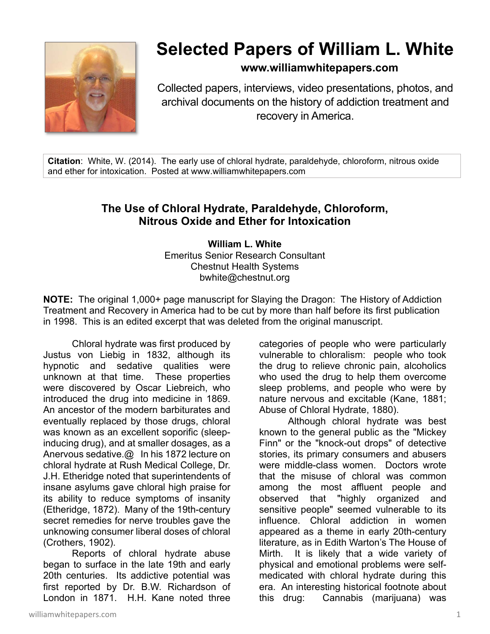

# **Selected Papers of William L. White**

## **www.williamwhitepapers.com**

Collected papers, interviews, video presentations, photos, and archival documents on the history of addiction treatment and recovery in America.

**Citation**: White, W. (2014). The early use of chloral hydrate, paraldehyde, chloroform, nitrous oxide and ether for intoxication. Posted at www.williamwhitepapers.com

## **The Use of Chloral Hydrate, Paraldehyde, Chloroform, Nitrous Oxide and Ether for Intoxication**

**William L. White**  Emeritus Senior Research Consultant Chestnut Health Systems bwhite@chestnut.org

**NOTE:** The original 1,000+ page manuscript for Slaying the Dragon: The History of Addiction Treatment and Recovery in America had to be cut by more than half before its first publication in 1998. This is an edited excerpt that was deleted from the original manuscript.

Chloral hydrate was first produced by Justus von Liebig in 1832, although its hypnotic and sedative qualities were unknown at that time. These properties were discovered by Oscar Liebreich, who introduced the drug into medicine in 1869. An ancestor of the modern barbiturates and eventually replaced by those drugs, chloral was known as an excellent soporific (sleepinducing drug), and at smaller dosages, as a Anervous sedative.@ In his 1872 lecture on chloral hydrate at Rush Medical College, Dr. J.H. Etheridge noted that superintendents of insane asylums gave chloral high praise for its ability to reduce symptoms of insanity (Etheridge, 1872). Many of the 19th-century secret remedies for nerve troubles gave the unknowing consumer liberal doses of chloral (Crothers, 1902).

Reports of chloral hydrate abuse began to surface in the late 19th and early 20th centuries. Its addictive potential was first reported by Dr. B.W. Richardson of London in 1871. H.H. Kane noted three

categories of people who were particularly vulnerable to chloralism: people who took the drug to relieve chronic pain, alcoholics who used the drug to help them overcome sleep problems, and people who were by nature nervous and excitable (Kane, 1881; Abuse of Chloral Hydrate, 1880).

Although chloral hydrate was best known to the general public as the "Mickey Finn" or the "knock-out drops" of detective stories, its primary consumers and abusers were middle-class women. Doctors wrote that the misuse of chloral was common among the most affluent people and observed that "highly organized and sensitive people" seemed vulnerable to its influence. Chloral addiction in women appeared as a theme in early 20th-century literature, as in Edith Warton's The House of Mirth. It is likely that a wide variety of physical and emotional problems were selfmedicated with chloral hydrate during this era. An interesting historical footnote about this drug: Cannabis (marijuana) was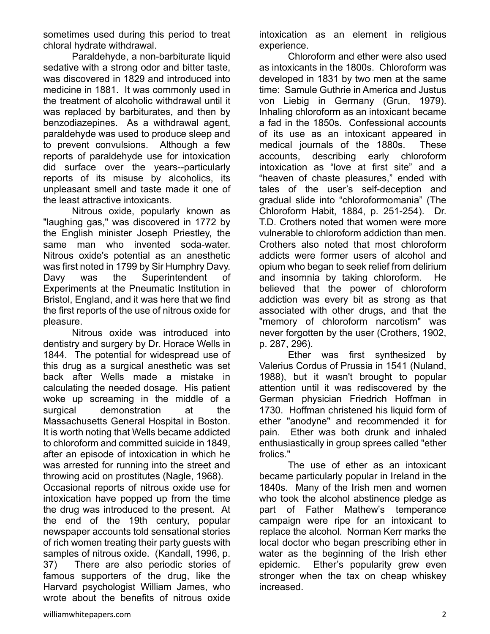sometimes used during this period to treat chloral hydrate withdrawal.

Paraldehyde, a non-barbiturate liquid sedative with a strong odor and bitter taste, was discovered in 1829 and introduced into medicine in 1881. It was commonly used in the treatment of alcoholic withdrawal until it was replaced by barbiturates, and then by benzodiazepines. As a withdrawal agent, paraldehyde was used to produce sleep and to prevent convulsions. Although a few reports of paraldehyde use for intoxication did surface over the years--particularly reports of its misuse by alcoholics, its unpleasant smell and taste made it one of the least attractive intoxicants.

Nitrous oxide, popularly known as "laughing gas," was discovered in 1772 by the English minister Joseph Priestley, the same man who invented soda-water. Nitrous oxide's potential as an anesthetic was first noted in 1799 by Sir Humphry Davy. Davy was the Superintendent of Experiments at the Pneumatic Institution in Bristol, England, and it was here that we find the first reports of the use of nitrous oxide for pleasure.

Nitrous oxide was introduced into dentistry and surgery by Dr. Horace Wells in 1844. The potential for widespread use of this drug as a surgical anesthetic was set back after Wells made a mistake in calculating the needed dosage. His patient woke up screaming in the middle of a surgical demonstration at the Massachusetts General Hospital in Boston. It is worth noting that Wells became addicted to chloroform and committed suicide in 1849, after an episode of intoxication in which he was arrested for running into the street and throwing acid on prostitutes (Nagle, 1968).

Occasional reports of nitrous oxide use for intoxication have popped up from the time the drug was introduced to the present. At the end of the 19th century, popular newspaper accounts told sensational stories of rich women treating their party guests with samples of nitrous oxide. (Kandall, 1996, p. 37) There are also periodic stories of famous supporters of the drug, like the Harvard psychologist William James, who wrote about the benefits of nitrous oxide

intoxication as an element in religious experience.

Chloroform and ether were also used as intoxicants in the 1800s. Chloroform was developed in 1831 by two men at the same time: Samule Guthrie in America and Justus von Liebig in Germany (Grun, 1979). Inhaling chloroform as an intoxicant became a fad in the 1850s. Confessional accounts of its use as an intoxicant appeared in medical journals of the 1880s. These accounts, describing early chloroform intoxication as "love at first site" and a "heaven of chaste pleasures," ended with tales of the user's self-deception and gradual slide into "chloroformomania" (The Chloroform Habit, 1884, p. 251-254). Dr. T.D. Crothers noted that women were more vulnerable to chloroform addiction than men. Crothers also noted that most chloroform addicts were former users of alcohol and opium who began to seek relief from delirium and insomnia by taking chloroform. He believed that the power of chloroform addiction was every bit as strong as that associated with other drugs, and that the "memory of chloroform narcotism" was never forgotten by the user (Crothers, 1902, p. 287, 296).

Ether was first synthesized by Valerius Cordus of Prussia in 1541 (Nuland, 1988), but it wasn't brought to popular attention until it was rediscovered by the German physician Friedrich Hoffman in 1730. Hoffman christened his liquid form of ether "anodyne" and recommended it for pain. Ether was both drunk and inhaled enthusiastically in group sprees called "ether frolics."

The use of ether as an intoxicant became particularly popular in Ireland in the 1840s. Many of the Irish men and women who took the alcohol abstinence pledge as part of Father Mathew's temperance campaign were ripe for an intoxicant to replace the alcohol. Norman Kerr marks the local doctor who began prescribing ether in water as the beginning of the Irish ether epidemic. Ether's popularity grew even stronger when the tax on cheap whiskey increased.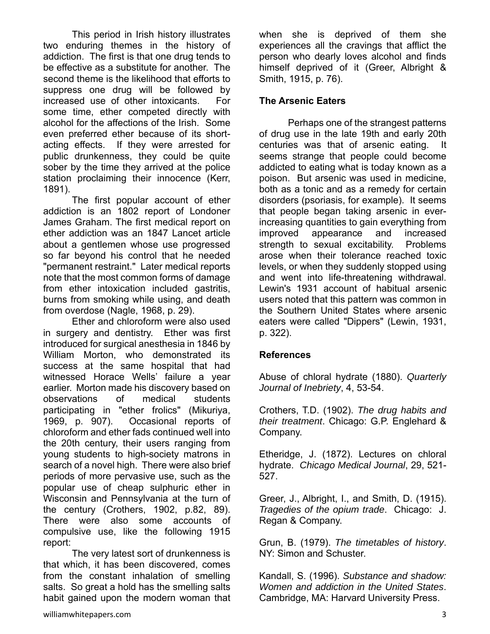This period in Irish history illustrates two enduring themes in the history of addiction. The first is that one drug tends to be effective as a substitute for another. The second theme is the likelihood that efforts to suppress one drug will be followed by increased use of other intoxicants. For some time, ether competed directly with alcohol for the affections of the Irish. Some even preferred ether because of its shortacting effects. If they were arrested for public drunkenness, they could be quite sober by the time they arrived at the police station proclaiming their innocence (Kerr, 1891).

The first popular account of ether addiction is an 1802 report of Londoner James Graham. The first medical report on ether addiction was an 1847 Lancet article about a gentlemen whose use progressed so far beyond his control that he needed "permanent restraint." Later medical reports note that the most common forms of damage from ether intoxication included gastritis, burns from smoking while using, and death from overdose (Nagle, 1968, p. 29).

Ether and chloroform were also used in surgery and dentistry. Ether was first introduced for surgical anesthesia in 1846 by William Morton, who demonstrated its success at the same hospital that had witnessed Horace Wells' failure a year earlier. Morton made his discovery based on observations of medical students participating in "ether frolics" (Mikuriya, 1969, p. 907). Occasional reports of chloroform and ether fads continued well into the 20th century, their users ranging from young students to high-society matrons in search of a novel high. There were also brief periods of more pervasive use, such as the popular use of cheap sulphuric ether in Wisconsin and Pennsylvania at the turn of the century (Crothers, 1902, p.82, 89). There were also some accounts of compulsive use, like the following 1915 report:

 The very latest sort of drunkenness is that which, it has been discovered, comes from the constant inhalation of smelling salts. So great a hold has the smelling salts habit gained upon the modern woman that when she is deprived of them she experiences all the cravings that afflict the person who dearly loves alcohol and finds himself deprived of it (Greer, Albright & Smith, 1915, p. 76).

### **The Arsenic Eaters**

Perhaps one of the strangest patterns of drug use in the late 19th and early 20th centuries was that of arsenic eating. It seems strange that people could become addicted to eating what is today known as a poison. But arsenic was used in medicine, both as a tonic and as a remedy for certain disorders (psoriasis, for example). It seems that people began taking arsenic in everincreasing quantities to gain everything from improved appearance and increased strength to sexual excitability. Problems arose when their tolerance reached toxic levels, or when they suddenly stopped using and went into life-threatening withdrawal. Lewin's 1931 account of habitual arsenic users noted that this pattern was common in the Southern United States where arsenic eaters were called "Dippers" (Lewin, 1931, p. 322).

#### **References**

Abuse of chloral hydrate (1880). *Quarterly Journal of Inebriety*, 4, 53-54.

Crothers, T.D. (1902). *The drug habits and their treatment*. Chicago: G.P. Englehard & Company.

Etheridge, J. (1872). Lectures on chloral hydrate. *Chicago Medical Journal*, 29, 521- 527.

Greer, J., Albright, I., and Smith, D. (1915). *Tragedies of the opium trade*. Chicago: J. Regan & Company.

Grun, B. (1979). *The timetables of history*. NY: Simon and Schuster.

Kandall, S. (1996). *Substance and shadow: Women and addiction in the United States*. Cambridge, MA: Harvard University Press.